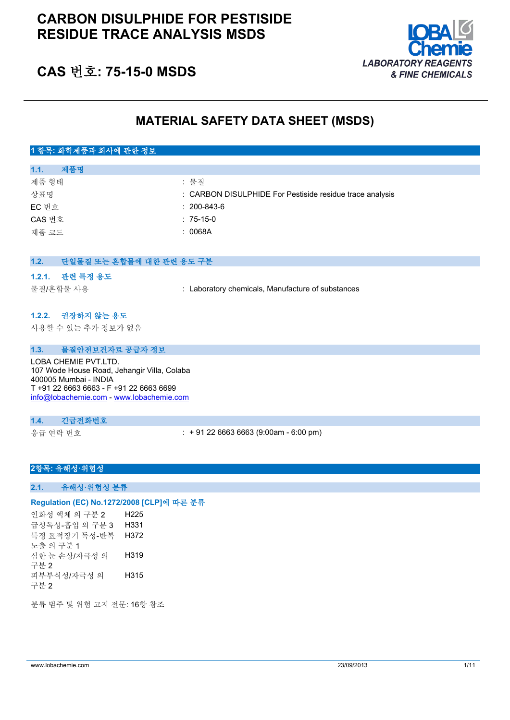## **CARBON DISULPHIDE FOR PESTISIDE RESIDUE TRACE ANALYSIS MSDS**



## **CAS 번호: 75-15-0 MSDS**

## **MATERIAL SAFETY DATA SHEET (MSDS)**

## **1 항목: 화학제품과 회사에 관한 정보**

| 제품명<br>1.1. |                                                          |
|-------------|----------------------------------------------------------|
| 제품 형태       | : 물질                                                     |
| 상표명         | : CARBON DISULPHIDE For Pestiside residue trace analysis |
| EC 번호       | $: 200 - 843 - 6$                                        |
| CAS 번호      | $: 75-15-0$                                              |
| 제품 코드       | : 0068A                                                  |
|             |                                                          |

| 1.2.                                                                                                                                    | 단일물질 또는 혼합물에 대한 관련 용도 구분                |                                                   |
|-----------------------------------------------------------------------------------------------------------------------------------------|-----------------------------------------|---------------------------------------------------|
| 1.2.1.                                                                                                                                  | 관련 특정 용도<br>물질/혼합물 사용                   | : Laboratory chemicals, Manufacture of substances |
|                                                                                                                                         | 1.2.2. 권장하지 않는 용도<br>사용할 수 있는 추가 정보가 없음 |                                                   |
| 1.3.                                                                                                                                    | 물질안전보건자료 공급자 정보                         |                                                   |
| LOBA CHEMIE PVT.LTD.<br>107 Wode House Road, Jehangir Villa, Colaba<br>400005 Mumbai - INDIA<br>T +91 22 6663 6663 - F +91 22 6663 6699 |                                         |                                                   |

[info@lobachemie.com](mailto:info@lobachemie.com) - <www.lobachemie.com>

### **1.4. 긴급전화번호**

응급 연락 번호 : + 91 22 6663 6663 (9:00am - 6:00 pm)

### **2항목: 유해성·위험성**

**2.1. 유해성·위험성 분류**

### **Regulation (EC) No.1272/2008 [CLP]에 따른 분류**

인화성 액체 의 구분 2 H225 급성독성-흡입 의 구분 3 H331 특정 표적장기 독성-반복 노출 의 구분 1 H372 심한 눈 손상/자극성 의 구분 2 H319 피부부식성/자극성 의 구분 2 H315

분류 범주 및 위험 고지 전문: 16항 참조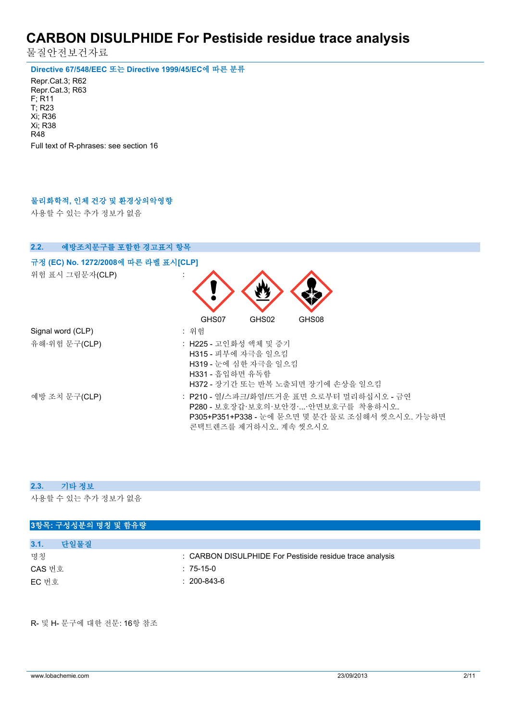물질안전보건자료

**Directive 67/548/EEC 또는 Directive 1999/45/EC에 따른 분류**

Repr.Cat.3; R62 Repr.Cat.3; R63 F; R11 T; R23 Xi; R36 Xi; R38 R48 Full text of R-phrases: see section 16

## **물리화학적, 인체 건강 및 환경상의악영향**

사용할 수 있는 추가 정보가 없음

| 예방조치문구를 포함한 경고표지 항목<br>2.2.                             |                                                                                                                                                             |
|---------------------------------------------------------|-------------------------------------------------------------------------------------------------------------------------------------------------------------|
| 규정 (EC) No. 1272/2008에 따른 라벨 표시[CLP]<br>위험 표시 그림문자(CLP) |                                                                                                                                                             |
| Signal word (CLP)                                       | GHS07<br>GHS02<br>GHS08<br>: 위험                                                                                                                             |
| 유해·위험 문구(CLP)                                           | : H225 - 고인화성 액체 및 증기<br>H315 - 피부에 자극을 일으킴<br>H319 - 눈에 심한 자극을 일으킴<br>H331 - 흡입하면 유독함<br>H372 - 장기간 또는 반복 노출되면 장기에 손상을 일으킴                                 |
| 예방 조치 문구(CLP)                                           | : P210 - 열/스파크/화염/뜨거운 표면 으로부터 멀리하십시오 - 금연<br>P280 - 보호장갑·보호의·보안경··안면보호구를 착용하시오.<br>P305+P351+P338 - 눈에 묻으면 몇 분간 물로 조심해서 씻으시오. 가능하면<br>콘택트렌즈를 제거하시오. 계속 씻으시오 |

#### **2.3. 기타 정보**

사용할 수 있는 추가 정보가 없음

| 3항목: 구성성분의 명칭 및 함유량 |                                                          |
|---------------------|----------------------------------------------------------|
|                     |                                                          |
| 3.1.<br>단일물질        |                                                          |
| 명칭                  | : CARBON DISULPHIDE For Pestiside residue trace analysis |
| CAS 번호              | $:75-15-0$                                               |
| EC 번호               | $: 200 - 843 - 6$                                        |
|                     |                                                          |

R- 및 H- 문구에 대한 전문: 16항 참조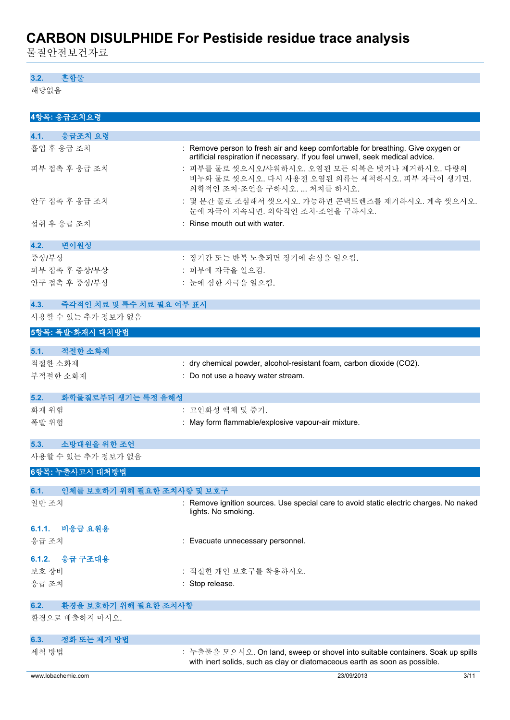물질안전보건자료

### **3.2. 혼합물**

해당없음

| 4항목: 응급조치요령                        |                                                                                                                                                                  |
|------------------------------------|------------------------------------------------------------------------------------------------------------------------------------------------------------------|
| 4.1.<br>응급조치 요령                    |                                                                                                                                                                  |
| 흡입 후 응급 조치                         | : Remove person to fresh air and keep comfortable for breathing. Give oxygen or<br>artificial respiration if necessary. If you feel unwell, seek medical advice. |
| 피부 접촉 후 응급 조치                      | : 피부를 물로 씻으시오/샤워하시오. 오염된 모든 의복은 벗거나 제거하시오. 다량의<br>비누와 물로 씻으시오. 다시 사용전 오염된 의류는 세척하시오. 피부 자극이 생기면.<br>의학적인 조치·조언을 구하시오.  처치를 하시오.                                  |
| 안구 접촉 후 응급 조치                      | : 몇 분간 물로 조심해서 씻으시오. 가능하면 콘택트렌즈를 제거하시오. 계속 씻으시오.<br>눈에 자극이 지속되면. 의학적인 조치·조언을 구하시오.                                                                               |
| 섭취 후 응급 조치                         | : Rinse mouth out with water.                                                                                                                                    |
| 변이원성<br>4.2.                       |                                                                                                                                                                  |
| 증상/부상                              | : 장기간 또는 반복 노출되면 장기에 손상을 일으킴.                                                                                                                                    |
| 피부 접촉 후 증상/부상                      | : 피부에 자극을 일으킴.                                                                                                                                                   |
| 안구 접촉 후 증상/부상                      | : 눈에 심한 자극을 일으킴.                                                                                                                                                 |
| 즉각적인 치료 및 특수 치료 필요 여부 표시<br>4.3.   |                                                                                                                                                                  |
| 사용할 수 있는 추가 정보가 없음                 |                                                                                                                                                                  |
| 5항목: 폭발·화재시 대처방법                   |                                                                                                                                                                  |
| 적절한 소화제<br>5.1.                    |                                                                                                                                                                  |
| 적절한 소화제                            | : dry chemical powder, alcohol-resistant foam, carbon dioxide (CO2).                                                                                             |
| 부적절한 소화재                           | : Do not use a heavy water stream.                                                                                                                               |
|                                    |                                                                                                                                                                  |
| 5.2.<br>화학물질로부터 생기는 특정 유해성         |                                                                                                                                                                  |
| 화재 위험                              | : 고인화성 액체 및 증기.                                                                                                                                                  |
| 폭발 위험                              | : May form flammable/explosive vapour-air mixture.                                                                                                               |
| 소방대원을 위한 조언<br>5.3.                |                                                                                                                                                                  |
| 사용할 수 있는 추가 정보가 없음                 |                                                                                                                                                                  |
| 6항목: 누출사고시 대처방법                    |                                                                                                                                                                  |
| 인체를 보호하기 위해 필요한 조치사항 및 보호구<br>6.1. |                                                                                                                                                                  |
| 일반 조치                              | : Remove ignition sources. Use special care to avoid static electric charges. No naked                                                                           |
|                                    | lights. No smoking.                                                                                                                                              |
| 비응급 요원용<br>6.1.1.                  |                                                                                                                                                                  |
| 응급 조치                              | : Evacuate unnecessary personnel.                                                                                                                                |
| 응급 구조대용<br>6.1.2.                  |                                                                                                                                                                  |
| 보호 장비                              | : 적절한 개인 보호구를 착용하시오.                                                                                                                                             |
| 응급 조치                              | : Stop release.                                                                                                                                                  |
| 환경을 보호하기 위해 필요한 조치사항<br>6.2.       |                                                                                                                                                                  |
| 환경으로 배출하지 마시오.                     |                                                                                                                                                                  |
| 정화 또는 제거 방법<br>6.3.                |                                                                                                                                                                  |
| 세척 방법                              | : 누출물을 모으시오. On land, sweep or shovel into suitable containers. Soak up spills<br>with inert solids, such as clay or diatomaceous earth as soon as possible.     |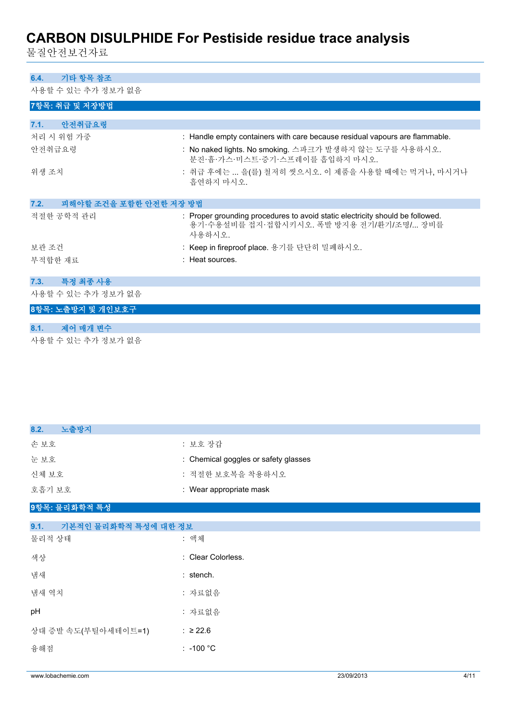물질안전보건자료

## **6.4. 기타 항목 참조**

사용할 수 있는 추가 정보가 없음

| ′ 'I O 큰 ᅵ ᄊ ㄴ ᅵ / I O ㅗ / I BA ㅁ |                                                                                                                                     |
|-----------------------------------|-------------------------------------------------------------------------------------------------------------------------------------|
| 7항목: 취급 및 저장방법                    |                                                                                                                                     |
|                                   |                                                                                                                                     |
| 안전취급요령<br>7.1.                    |                                                                                                                                     |
| 처리 시 위험 가중                        | : Handle empty containers with care because residual vapours are flammable.                                                         |
| 안전취급요령                            | : No naked lights. No smoking. 스파크가 발생하지 않는 도구를 사용하시오.<br>분진·흄·가스·미스트·증기·스프레이를 흡입하지 마시오.                                            |
| 위생 조치                             | : 취급 후에는  을(를) 철저히 씻으시오. 이 제품을 사용할 때에는 먹거나, 마시거나<br>흡연하지 마시오.                                                                       |
| 7.2.<br>피해야할 조건을 포함한 안전한 저장 방법    |                                                                                                                                     |
| 적절한 공학적 관리                        | : Proper grounding procedures to avoid static electricity should be followed.<br>용기·수용설비를 접지·접합시키시오. 폭발 방지용 전기/환기/조명/ 장비를<br>사용하시오. |
| 보관 조건                             | : Keep in fireproof place. 용기를 단단히 밀폐하시오.                                                                                           |
| 부적합한 재료                           | : Heat sources.                                                                                                                     |
|                                   |                                                                                                                                     |
| 특정 최종 사용<br>7.3.                  |                                                                                                                                     |
| 사용할 수 있는 추가 정보가 없음                |                                                                                                                                     |
| 8항목: 노출방지 및 개인보호구                 |                                                                                                                                     |
|                                   |                                                                                                                                     |
| 제어 매개 변수<br>8.1.                  |                                                                                                                                     |
| 사용할 수 있는 추가 정보가 없음                |                                                                                                                                     |

| 8.2.<br>노출방지                 |                                      |
|------------------------------|--------------------------------------|
| 손보호                          | : 보호 장갑                              |
| 눈보호                          | : Chemical goggles or safety glasses |
| 신체 보호                        | : 적절한 보호복을 착용하시오                     |
| 호흡기 보호                       | : Wear appropriate mask              |
| 9항목: 물리화학적 특성                |                                      |
| 9.1.<br>기본적인 물리화학적 특성에 대한 정보 |                                      |
| 물리적 상태                       | : 액체                                 |
| 색상                           | : Clear Colorless.                   |
| 냄새                           | : stench.                            |
| 냄새 역치                        | : 자료없음                               |
| pH                           | : 자료없음                               |
| 상대 증발 속도(부틸아세테이트=1)          | : ≥22.6                              |
| 융해점                          | $: -100 °C$                          |
|                              |                                      |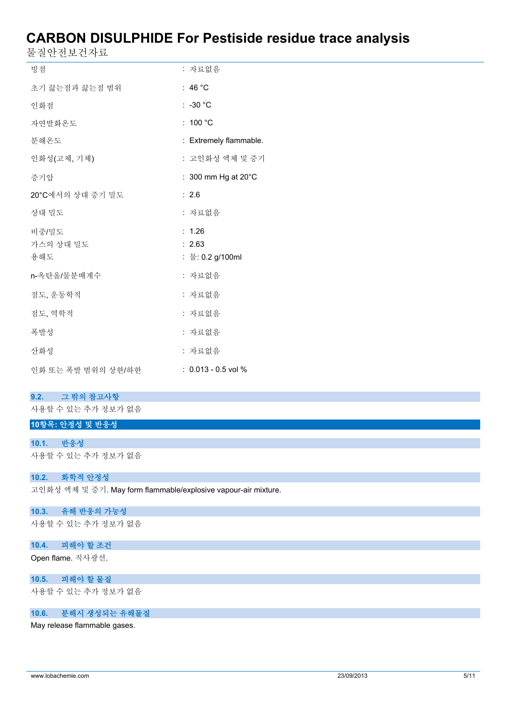물질안전보건자료

| 빙점                        | : 자료없음                               |
|---------------------------|--------------------------------------|
| 초기 끓는점과 끓는점 범위            | : 46 $^{\circ}$ C                    |
| 인화점                       | $: -30 °C$                           |
| 자연발화온도                    | : 100 $^{\circ}$ C                   |
| 분해온도                      | : Extremely flammable.               |
| 인화성(고체, 기체)               | : 고인화성 액체 및 증기                       |
| 증기압                       | : 300 mm Hg at 20°C                  |
| 20°C에서의 상대 증기 밀도          | $\therefore$ 2.6                     |
| 상대 밀도                     | : 자료없음                               |
| 비중/밀도<br>가스의 상대 밀도<br>용해도 | : 1.26<br>: 2.63<br>: 물: 0.2 g/100ml |
| n-옥탄올/물분배계수               | : 자료없음                               |
| 점도, 운동학적                  | : 자료없음                               |
| 점도, 역학적                   | : 자료없음                               |
| 폭발성                       | : 자료없음                               |
| 산화성                       | : 자료없음                               |
| 인화 또는 폭발 범위의 상한/하한        | $: 0.013 - 0.5$ vol %                |

### **9.2. 그 밖의 참고사항**

사용할 수 있는 추가 정보가 없음

## **10항목: 안정성 및 반응성**

**10.1. 반응성** 사용할 수 있는 추가 정보가 없음

### **10.2. 화학적 안정성**

고인화성 액체 및 증기. May form flammable/explosive vapour-air mixture.

## **10.3. 유해 반응의 가능성**

사용할 수 있는 추가 정보가 없음

## **10.4. 피해야 할 조건**

Open flame. 직사광선.

## **10.5. 피해야 할 물질**

사용할 수 있는 추가 정보가 없음

## **10.6. 분해시 생성되는 유해물질**

May release flammable gases.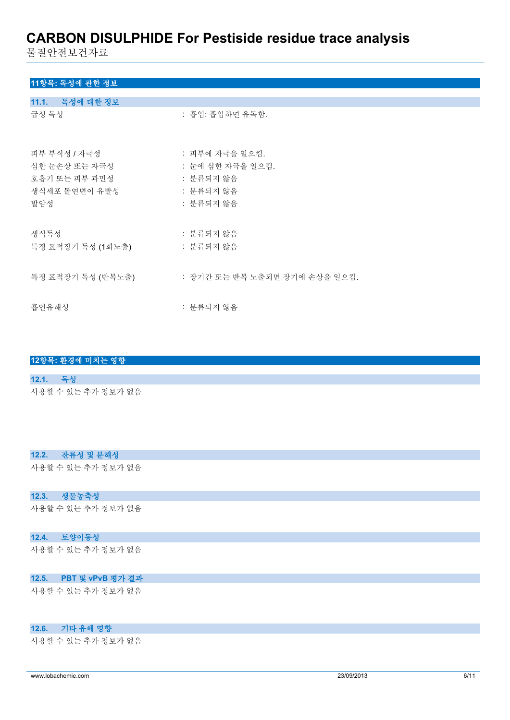물질안전보건자료

## **11항목: 독성에 관한 정보**

| 11.1. 독성에 대한 정보                                |                                                 |
|------------------------------------------------|-------------------------------------------------|
| 급성 독성                                          | : 흡입: 흡입하면 유독함.                                 |
| 피부 부식성 / 자극성<br>심한 눈손상 또는 자극성<br>호흡기 또는 피부 과민성 | : 피부에 자극을 일으킴.<br>: 눈에 심한 자극을 일으킴.<br>: 분류되지 않음 |
| 생식세포 돌연변이 유발성                                  | : 분류되지 않음                                       |
| 발암성                                            | : 분류되지 않음                                       |
| 생식독성                                           | : 분류되지 않음                                       |
| 특정 표적장기 독성 (1회노출)                              | : 분류되지 않음                                       |
| 특정 표적장기 독성 (반복노출)                              | : 장기간 또는 반복 노출되면 장기에 손상을 일으킴.                   |
| 흡인유해성                                          | : 분류되지 않음                                       |

## **12항목: 환경에 미치는 영향 12.1. 독성** 사용할 수 있는 추가 정보가 없음

### **12.2. 잔류성 및 분해성**

사용할 수 있는 추가 정보가 없음

## **12.3. 생물농축성**

사용할 수 있는 추가 정보가 없음

### **12.4. 토양이동성**

사용할 수 있는 추가 정보가 없음

### **12.5. PBT 및 vPvB 평가 결과**

사용할 수 있는 추가 정보가 없음

### **12.6. 기타 유해 영향**

사용할 수 있는 추가 정보가 없음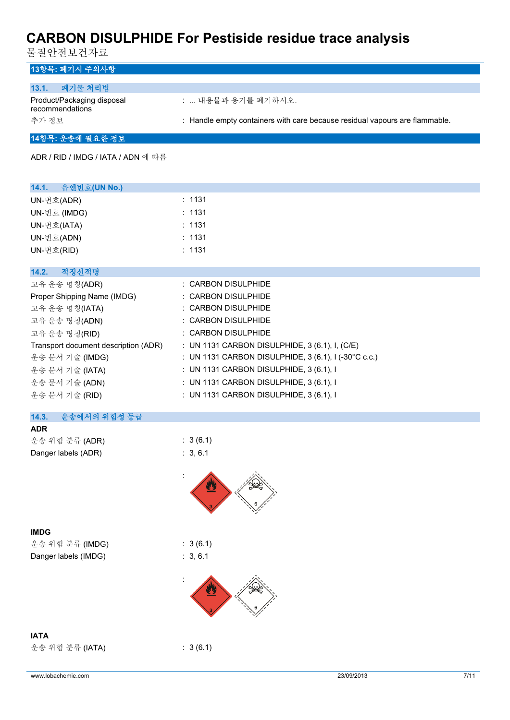물질안전보건자료

| 13항목: 폐기시 주의사항                                |                                                                             |
|-----------------------------------------------|-----------------------------------------------------------------------------|
| 폐기물 처리법<br>13.1.                              |                                                                             |
| Product/Packaging disposal<br>recommendations | :  내용물과 용기를 폐기하시오.                                                          |
| 추가 정보                                         | : Handle empty containers with care because residual vapours are flammable. |
| 그 4위표 : 이 시 제 씨 시 위 - 게 ㅋ                     |                                                                             |

## **14항목: 운송에 필요한 정보**

ADR / RID / IMDG / IATA / ADN 에 따름

| 14.1. 유엔번호(UN No.)                   |                                                        |
|--------------------------------------|--------------------------------------------------------|
| UN-번호(ADR)                           | : 1131                                                 |
| UN-번호 (IMDG)                         | : 1131                                                 |
| UN-번호(IATA)                          | : 1131                                                 |
| UN-번호(ADN)                           | : 1131                                                 |
| UN-번호(RID)                           | : 1131                                                 |
|                                      |                                                        |
| 14.2.<br>적정선적명                       |                                                        |
| 고유 운송 명칭(ADR)                        | : CARBON DISULPHIDE                                    |
| Proper Shipping Name (IMDG)          | : CARBON DISULPHIDE                                    |
| 고유 운송 명칭(IATA)                       | : CARBON DISULPHIDE                                    |
| 고유 운송 명칭(ADN)                        | : CARBON DISULPHIDE                                    |
| 고유 운송 명칭(RID)                        | $:$ CARBON DISULPHIDE                                  |
| Transport document description (ADR) | : UN 1131 CARBON DISULPHIDE, 3 (6.1), I, (C/E)         |
| 운송 문서 기술 (IMDG)                      | : UN 1131 CARBON DISULPHIDE, $3(6.1)$ , I (-30°C c.c.) |
| 운송 문서 기술 (IATA)                      | : UN 1131 CARBON DISULPHIDE, 3 (6.1), I                |
| 운송 문서 기술 (ADN)                       | : UN 1131 CARBON DISULPHIDE, 3 (6.1), I                |
| 운송 문서 기술 (RID)                       | : UN 1131 CARBON DISULPHIDE, 3 (6.1), I                |

| 운송에서의 위험성 등급<br>14.3. |                                 |
|-----------------------|---------------------------------|
| <b>ADR</b>            |                                 |
| 운송 위험 분류 (ADR)        | : 3(6.1)                        |
| Danger labels (ADR)   | : 3.6.1                         |
|                       |                                 |
|                       | $\mathcal{L}_{\rm{max}}$<br>ÍÑ. |



**IMDG** 운송 위험 분류 (IMDG) : 3 (6.1)

Danger labels (IMDG) : 3, 6.1

운송 위험 분류 (IATA) : 3 (6.1)





**IATA**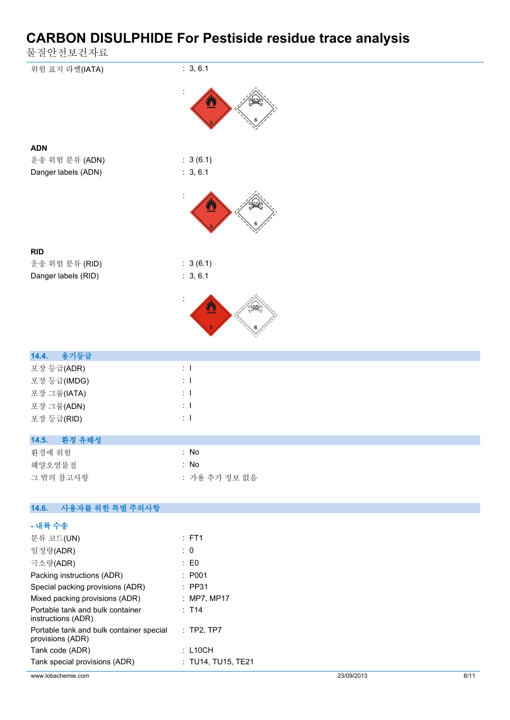물질안전보건자료

| さ ㄹ ㄴ 긴 ㅗ 긴 싀 ㅛ          |               |
|--------------------------|---------------|
| 위험 표지 라벨(IATA)           | : 3, 6.1      |
|                          |               |
| <b>ADN</b>               |               |
| 운송 위험 분류 (ADN)           | : 3(6.1)      |
| Danger labels (ADN)      | : 3, 6.1      |
|                          |               |
|                          |               |
| <b>RID</b>               |               |
| 운송 위험 분류 (RID)           | : 3(6.1)      |
| Danger labels (RID)      | : 3, 6.1      |
|                          |               |
|                          |               |
| 14.4.<br>용기등급            |               |
| 포장 등급(ADR)               | $\pm$ 1       |
| 포장 등급(IMDG)              | $\pm$ 1       |
| 포장 그룹(IATA)              | $\pm$ 1       |
| 포장 그룹(ADN)               | $\pm$ 1       |
| 포장 등급(RID)               | $\pm$ 1       |
| 14.5. 환경 유해성             |               |
| 환경에 위험                   | : No          |
| 해양오염물질                   | : No          |
| 그 밖의 참고사항                | : 가용 추가 정보 없음 |
|                          |               |
| 14.6.<br>사용자를 위한 특별 주의사항 |               |
| - 내륙 수송                  |               |
| 분류 코드(UN)                | : FT1         |
| 일정량(ADR)                 | $\colon 0$    |
| 극소량(ADR)                 | : E0          |

| 국소당(ADR)                                                     | : EU               |
|--------------------------------------------------------------|--------------------|
| Packing instructions (ADR)                                   | : P001             |
| Special packing provisions (ADR)                             | $:$ PP31           |
| Mixed packing provisions (ADR)                               | : MP7, MP17        |
| Portable tank and bulk container<br>instructions (ADR)       | : T14              |
| Portable tank and bulk container special<br>provisions (ADR) | : TP2, TP7         |
| Tank code (ADR)                                              | $:$ L10CH          |
| Tank special provisions (ADR)                                | : TU14, TU15, TE21 |
|                                                              |                    |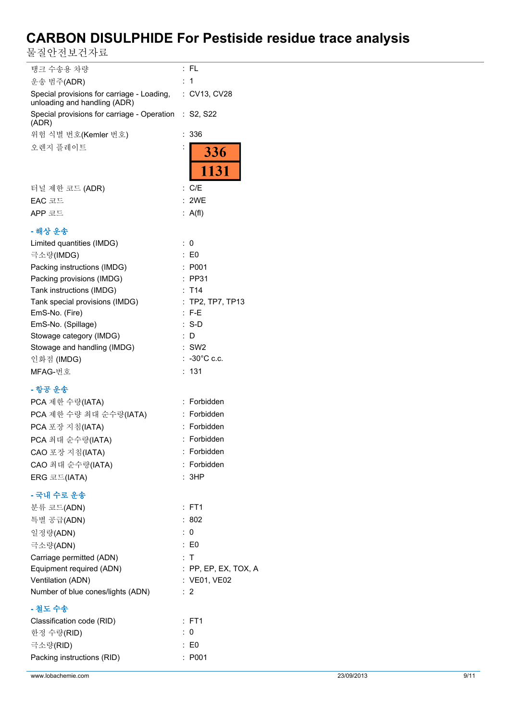물질안전보건자료

| 탱크 수송용 차량                                                                  | : FL                   |
|----------------------------------------------------------------------------|------------------------|
| 운송 범주(ADR)                                                                 | : 1                    |
| Special provisions for carriage - Loading,<br>unloading and handling (ADR) | : CV13, CV28           |
| Special provisions for carriage - Operation : S2, S22<br>(ADR)             |                        |
| 위험 식별 번호(Kemler 번호)                                                        | 336<br>÷               |
| 오렌지 플레이트                                                                   | $\ddot{\cdot}$         |
|                                                                            | <b>336</b><br>1131     |
| 터널 제한 코드 (ADR)                                                             | : C/E                  |
| EAC 코드                                                                     | : 2WE                  |
| APP 코드                                                                     | : $A(f)$               |
| - 해상 운송                                                                    |                        |
| Limited quantities (IMDG)                                                  | : 0                    |
| 극소량(IMDG)                                                                  | $\therefore$ EO        |
| Packing instructions (IMDG)                                                | : P001                 |
| Packing provisions (IMDG)                                                  | $:$ PP31               |
| Tank instructions (IMDG)                                                   | : T14                  |
| Tank special provisions (IMDG)                                             | : TP2, TP7, TP13       |
| EmS-No. (Fire)                                                             | $:$ F-E                |
| EmS-No. (Spillage)                                                         | $: S-D$                |
| Stowage category (IMDG)                                                    | : D                    |
| Stowage and handling (IMDG)                                                | $:$ SW2                |
| 인화점 (IMDG)                                                                 | $: -30^{\circ}$ C c.c. |
| MFAG-번호                                                                    | : 131                  |
| - 항공 운송                                                                    |                        |
| PCA 제한 수량(IATA)                                                            | : Forbidden            |
| PCA 제한 수량 최대 순수량(IATA)                                                     | : Forbidden            |
| PCA 포장 지침(IATA)                                                            | Forbidden              |
| PCA 최대 순수량(IATA)                                                           | : Forbidden            |
| CAO 포장 지침(IATA)                                                            | Forbidden<br>÷         |
| CAO 최대 순수량(IATA)                                                           | : Forbidden            |
| ERG 코드(IATA)                                                               | : 3HP                  |
| - 국내 수로 운송                                                                 |                        |
| 분류 코드(ADN)                                                                 | $:$ FT1                |
| 특별 공급(ADN)                                                                 | :802                   |
| 일정량(ADN)                                                                   | : 0                    |
| 극소량(ADN)                                                                   | $\therefore$ E0        |
| Carriage permitted (ADN)                                                   | : T                    |
| Equipment required (ADN)                                                   | : PP, EP, EX, TOX, A   |
| Ventilation (ADN)                                                          | : VE01, VE02           |
| Number of blue cones/lights (ADN)                                          | :2                     |
| - 철도 수송                                                                    |                        |
| Classification code (RID)                                                  | $:$ FT1                |
| 한정 수량(RID)                                                                 | : 0                    |
| 극소량(RID)                                                                   | $\colon$ EO            |
| Packing instructions (RID)                                                 | : P001                 |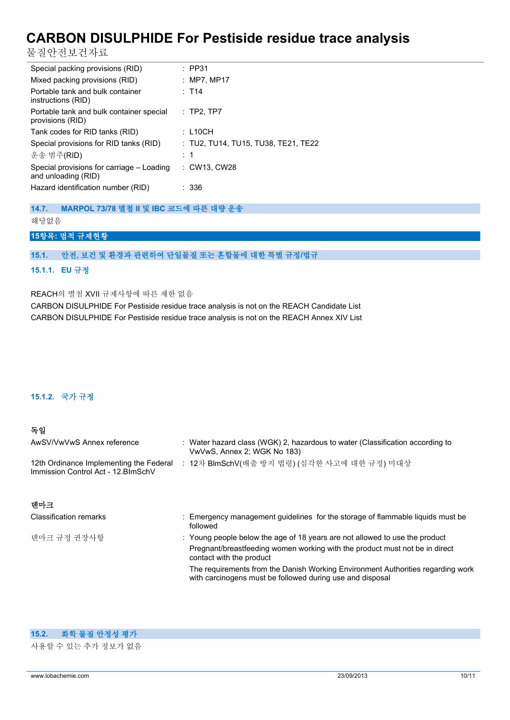물질안전보건자료

| Special packing provisions (RID)                                 | $:$ PP31                            |
|------------------------------------------------------------------|-------------------------------------|
| Mixed packing provisions (RID)                                   | : MP7, MP17                         |
| Portable tank and bulk container<br>instructions (RID)           | $:$ T14                             |
| Portable tank and bulk container special<br>provisions (RID)     | $:$ TP2, TP7                        |
| Tank codes for RID tanks (RID)                                   | : L10CH                             |
| Special provisions for RID tanks (RID)                           | : TU2, TU14, TU15, TU38, TE21, TE22 |
| 운송 범주(RID)                                                       | :1                                  |
| Special provisions for carriage - Loading<br>and unloading (RID) | : CW13, CW28                        |
| Hazard identification number (RID)                               | : 336                               |

**14.7. MARPOL 73/78 별첨 II 및 IBC 코드에 따른 대량 운송**

해당없음

## **15항목: 법적 규제현황**

### **15.1. 안전, 보건 및 환경과 관련하여 단일물질 또는 혼합물에 대한 특별 규정/법규**

### **15.1.1. EU 규정**

REACH의 별첨 XVII 규제사항에 따른 제한 없음

CARBON DISULPHIDE For Pestiside residue trace analysis is not on the REACH Candidate List CARBON DISULPHIDE For Pestiside residue trace analysis is not on the REACH Annex XIV List

### **15.1.2. 국가 규정**

### **독일**

| AwSV/VwVwS Annex reference                                                     | : Water hazard class (WGK) 2, hazardous to water (Classification according to<br>VwVwS, Annex 2; WGK No 183) |
|--------------------------------------------------------------------------------|--------------------------------------------------------------------------------------------------------------|
| 12th Ordinance Implementing the Federal<br>Immission Control Act - 12. BlmSchV | : 12차 BlmSchV(배출 방지 법령) (심각한 사고에 대한 규정) 미대상                                                                  |

| 덴마크                           |                                                                                                                                              |
|-------------------------------|----------------------------------------------------------------------------------------------------------------------------------------------|
| <b>Classification remarks</b> | : Emergency management quidelines for the storage of flammable liquids must be<br>followed                                                   |
| 덴마크 규정 권장사항                   | : Young people below the age of 18 years are not allowed to use the product                                                                  |
|                               | Pregnant/breastfeeding women working with the product must not be in direct<br>contact with the product                                      |
|                               | The requirements from the Danish Working Environment Authorities regarding work<br>with carcinogens must be followed during use and disposal |

### **15.2. 화학 물질 안정성 평가**

사용할 수 있는 추가 정보가 없음